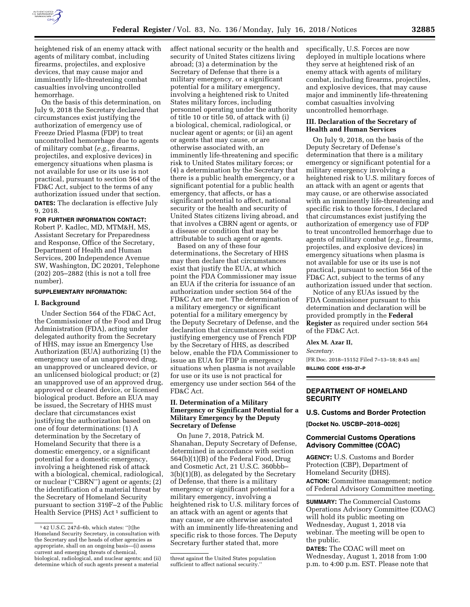

heightened risk of an enemy attack with agents of military combat, including firearms, projectiles, and explosive devices, that may cause major and imminently life-threatening combat casualties involving uncontrolled hemorrhage.

On the basis of this determination, on July 9, 2018 the Secretary declared that circumstances exist justifying the authorization of emergency use of Freeze Dried Plasma (FDP) to treat uncontrolled hemorrhage due to agents of military combat (*e.g.,* firearms, projectiles, and explosive devices) in emergency situations when plasma is not available for use or its use is not practical, pursuant to section 564 of the FD&C Act, subject to the terms of any authorization issued under that section. **DATES:** The declaration is effective July 9, 2018.

### **FOR FURTHER INFORMATION CONTACT:**

Robert P. Kadlec, MD, MTM&H, MS, Assistant Secretary for Preparedness and Response, Office of the Secretary, Department of Health and Human Services, 200 Independence Avenue SW, Washington, DC 20201, Telephone (202) 205–2882 (this is not a toll free number).

### **SUPPLEMENTARY INFORMATION:**

### **I. Background**

Under Section 564 of the FD&C Act, the Commissioner of the Food and Drug Administration (FDA), acting under delegated authority from the Secretary of HHS, may issue an Emergency Use Authorization (EUA) authorizing (1) the emergency use of an unapproved drug, an unapproved or uncleared device, or an unlicensed biological product; or (2) an unapproved use of an approved drug, approved or cleared device, or licensed biological product. Before an EUA may be issued, the Secretary of HHS must declare that circumstances exist justifying the authorization based on one of four determinations: (1) A determination by the Secretary of Homeland Security that there is a domestic emergency, or a significant potential for a domestic emergency, involving a heightened risk of attack with a biological, chemical, radiological, or nuclear (''CBRN'') agent or agents; (2) the identification of a material threat by the Secretary of Homeland Security pursuant to section 319F–2 of the Public Health Service (PHS) Act<sup>1</sup> sufficient to

affect national security or the health and security of United States citizens living abroad; (3) a determination by the Secretary of Defense that there is a military emergency, or a significant potential for a military emergency, involving a heightened risk to United States military forces, including personnel operating under the authority of title 10 or title 50, of attack with (i) a biological, chemical, radiological, or nuclear agent or agents; or (ii) an agent or agents that may cause, or are otherwise associated with, an imminently life-threatening and specific risk to United States military forces; or (4) a determination by the Secretary that there is a public health emergency, or a significant potential for a public health emergency, that affects, or has a significant potential to affect, national security or the health and security of United States citizens living abroad, and that involves a CBRN agent or agents, or a disease or condition that may be attributable to such agent or agents.

Based on any of these four determinations, the Secretary of HHS may then declare that circumstances exist that justify the EUA, at which point the FDA Commissioner may issue an EUA if the criteria for issuance of an authorization under section 564 of the FD&C Act are met. The determination of a military emergency or significant potential for a military emergency by the Deputy Secretary of Defense, and the declaration that circumstances exist justifying emergency use of French FDP by the Secretary of HHS, as described below, enable the FDA Commissioner to issue an EUA for FDP in emergency situations when plasma is not available for use or its use is not practical for emergency use under section 564 of the FD&C Act.

## **II. Determination of a Military Emergency or Significant Potential for a Military Emergency by the Deputy Secretary of Defense**

On June 7, 2018, Patrick M. Shanahan, Deputy Secretary of Defense, determined in accordance with section 564(b)(1)(B) of the Federal Food, Drug and Cosmetic Act, 21 U.S.C. 360bbb– 3(b)(1)(B), as delegated by the Secretary of Defense, that there is a military emergency or significant potential for a military emergency, involving a heightened risk to U.S. military forces of an attack with an agent or agents that may cause, or are otherwise associated with an imminently life-threatening and specific risk to those forces. The Deputy Secretary further stated that, more

specifically, U.S. Forces are now deployed in multiple locations where they serve at heightened risk of an enemy attack with agents of military combat, including firearms, projectiles, and explosive devices, that may cause major and imminently life-threatening combat casualties involving uncontrolled hemorrhage.

### **III. Declaration of the Secretary of Health and Human Services**

On July 9, 2018, on the basis of the Deputy Secretary of Defense's determination that there is a military emergency or significant potential for a military emergency involving a heightened risk to U.S. military forces of an attack with an agent or agents that may cause, or are otherwise associated with an imminently life-threatening and specific risk to those forces, I declared that circumstances exist justifying the authorization of emergency use of FDP to treat uncontrolled hemorrhage due to agents of military combat (*e.g.,* firearms, projectiles, and explosive devices) in emergency situations when plasma is not available for use or its use is not practical, pursuant to section 564 of the FD&C Act, subject to the terms of any authorization issued under that section.

Notice of any EUAs issued by the FDA Commissioner pursuant to this determination and declaration will be provided promptly in the **Federal Register** as required under section 564 of the FD&C Act.

**Alex M. Azar II,** 

*Secretary.* 

[FR Doc. 2018–15152 Filed 7–13–18; 8:45 am] **BILLING CODE 4150–37–P** 

### **DEPARTMENT OF HOMELAND SECURITY**

### **U.S. Customs and Border Protection**

**[Docket No. USCBP–2018–0026]** 

## **Commercial Customs Operations Advisory Committee (COAC)**

**AGENCY:** U.S. Customs and Border Protection (CBP), Department of Homeland Security (DHS). **ACTION:** Committee management; notice of Federal Advisory Committee meeting.

**SUMMARY:** The Commercial Customs Operations Advisory Committee (COAC) will hold its public meeting on Wednesday, August 1, 2018 via webinar. The meeting will be open to the public.

**DATES:** The COAC will meet on Wednesday, August 1, 2018 from 1:00 p.m. to 4:00 p.m. EST. Please note that

<sup>1</sup> 42 U.S.C. 247d–6b, which states: ''[t]he Homeland Security Secretary, in consultation with the Secretary and the heads of other agencies as appropriate, shall on an ongoing basis—(i) assess current and emerging threats of chemical, biological, radiological, and nuclear agents; and (ii) determine which of such agents present a material

threat against the United States population sufficient to affect national security.''